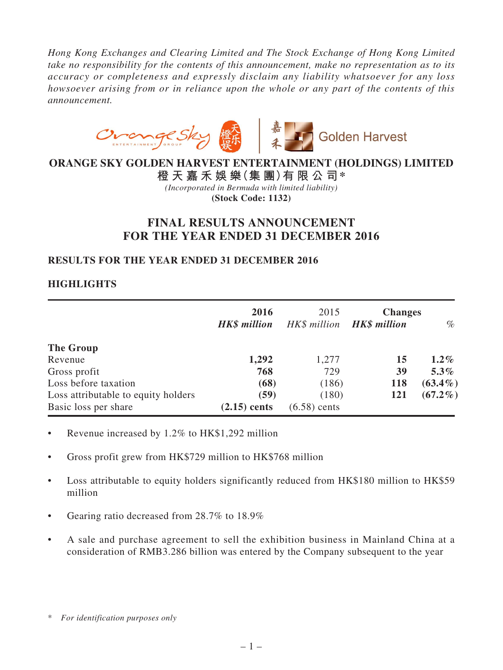*Hong Kong Exchanges and Clearing Limited and The Stock Exchange of Hong Kong Limited take no responsibility for the contents of this announcement, make no representation as to its accuracy or completeness and expressly disclaim any liability whatsoever for any loss howsoever arising from or in reliance upon the whole or any part of the contents of this announcement.*



# **ORANGE SKY GOLDEN HARVEST ENTERTAINMENT (HOLDINGS) LIMITED**

**橙 天 嘉 禾 娛 樂(集 團)有 限 公 司\*** *(Incorporated in Bermuda with limited liability)* **(Stock Code: 1132)**

# **FINAL RESULTS ANNOUNCEMENT FOR THE YEAR ENDED 31 DECEMBER 2016**

# **RESULTS FOR THE YEAR ENDED 31 DECEMBER 2016**

# **HIGHLIGHTS**

|                                     | 2016<br><b>HK\$</b> million | 2015<br>HK\$ million <b>HK\$ million</b> | <b>Changes</b> | $\%$       |
|-------------------------------------|-----------------------------|------------------------------------------|----------------|------------|
| The Group                           |                             |                                          |                |            |
| Revenue                             | 1,292                       | 1,277                                    | 15             | $1.2\%$    |
| Gross profit                        | 768                         | 729                                      | 39             | $5.3\%$    |
| Loss before taxation                | (68)                        | (186)                                    | 118            | $(63.4\%)$ |
| Loss attributable to equity holders | (59)                        | (180)                                    | 121            | $(67.2\%)$ |
| Basic loss per share                | $(2.15)$ cents              | $(6.58)$ cents                           |                |            |

- Revenue increased by  $1.2\%$  to HK\$1,292 million
- Gross profit grew from HK\$729 million to HK\$768 million
- Loss attributable to equity holders significantly reduced from HK\$180 million to HK\$59 million
- Gearing ratio decreased from 28.7% to 18.9%
- • A sale and purchase agreement to sell the exhibition business in Mainland China at a consideration of RMB3.286 billion was entered by the Company subsequent to the year

<sup>\*</sup> *For identification purposes only*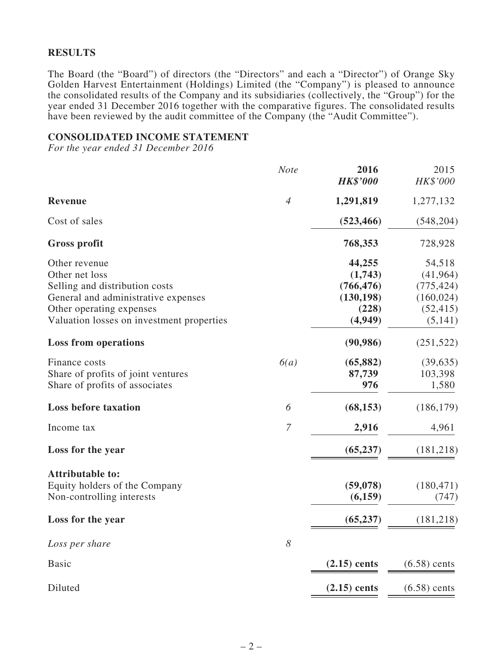### **RESULTS**

The Board (the "Board") of directors (the "Directors" and each a "Director") of Orange Sky Golden Harvest Entertainment (Holdings) Limited (the "Company") is pleased to announce the consolidated results of the Company and its subsidiaries (collectively, the "Group") for the year ended 31 December 2016 together with the comparative figures. The consolidated results have been reviewed by the audit committee of the Company (the "Audit Committee").

#### **CONSOLIDATED INCOME STATEMENT**

*For the year ended 31 December 2016*

|                                           | <b>Note</b>           | 2016<br><b>HK\$'000</b> | 2015<br>HK\$'000 |
|-------------------------------------------|-----------------------|-------------------------|------------------|
| <b>Revenue</b>                            | $\overline{4}$        | 1,291,819               | 1,277,132        |
| Cost of sales                             |                       | (523, 466)              | (548, 204)       |
| <b>Gross profit</b>                       |                       | 768,353                 | 728,928          |
| Other revenue                             |                       | 44,255                  | 54,518           |
| Other net loss                            |                       | (1,743)                 | (41, 964)        |
| Selling and distribution costs            |                       | (766, 476)              | (775, 424)       |
| General and administrative expenses       |                       | (130, 198)              | (160, 024)       |
| Other operating expenses                  |                       | (228)                   | (52, 415)        |
| Valuation losses on investment properties |                       | (4,949)                 | (5,141)          |
| <b>Loss from operations</b>               |                       | (90, 986)               | (251, 522)       |
| Finance costs                             | 6(a)                  | (65, 882)               | (39, 635)        |
| Share of profits of joint ventures        |                       | 87,739                  | 103,398          |
| Share of profits of associates            |                       | 976                     | 1,580            |
| <b>Loss before taxation</b>               | 6                     | (68, 153)               | (186, 179)       |
| Income tax                                | $\overline{7}$        | 2,916                   | 4,961            |
| Loss for the year                         |                       | (65, 237)               | (181, 218)       |
| <b>Attributable to:</b>                   |                       |                         |                  |
| Equity holders of the Company             |                       | (59,078)                | (180, 471)       |
| Non-controlling interests                 |                       | (6,159)                 | (747)            |
| Loss for the year                         |                       | (65, 237)               | (181, 218)       |
| Loss per share                            | $\boldsymbol{\delta}$ |                         |                  |
| <b>Basic</b>                              |                       | $(2.15)$ cents          | $(6.58)$ cents   |
| Diluted                                   |                       | $(2.15)$ cents          | $(6.58)$ cents   |
|                                           |                       |                         |                  |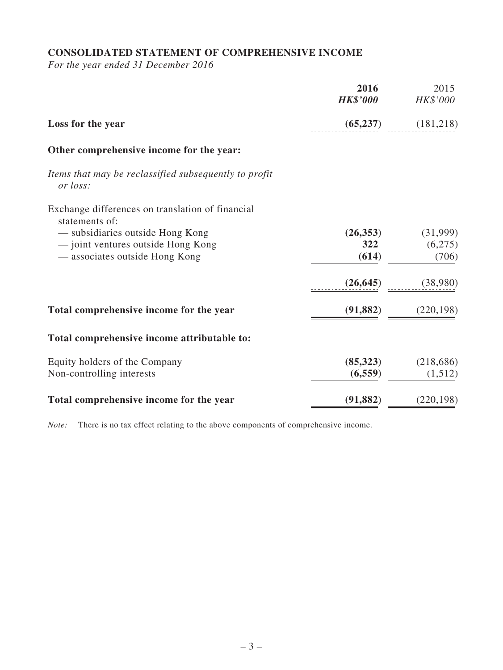# **CONSOLIDATED STATEMENT OF COMPREHENSIVE INCOME**

*For the year ended 31 December 2016*

|                                                                    | 2016<br><b>HK\$'000</b> | 2015<br>HK\$'000 |
|--------------------------------------------------------------------|-------------------------|------------------|
| Loss for the year                                                  | (65, 237)               | (181,218)        |
| Other comprehensive income for the year:                           |                         |                  |
| Items that may be reclassified subsequently to profit<br>or loss:  |                         |                  |
| Exchange differences on translation of financial<br>statements of: |                         |                  |
| - subsidiaries outside Hong Kong                                   | (26, 353)               | (31,999)         |
| - joint ventures outside Hong Kong                                 | 322                     | (6,275)          |
| — associates outside Hong Kong                                     | (614)                   | (706)            |
|                                                                    | (26, 645)               | (38,980)         |
| Total comprehensive income for the year                            | (91, 882)               | (220, 198)       |
| Total comprehensive income attributable to:                        |                         |                  |
| Equity holders of the Company                                      | (85,323)                | (218, 686)       |
| Non-controlling interests                                          | (6, 559)                | (1,512)          |
| Total comprehensive income for the year                            | (91, 882)               | (220, 198)       |

*Note:* There is no tax effect relating to the above components of comprehensive income.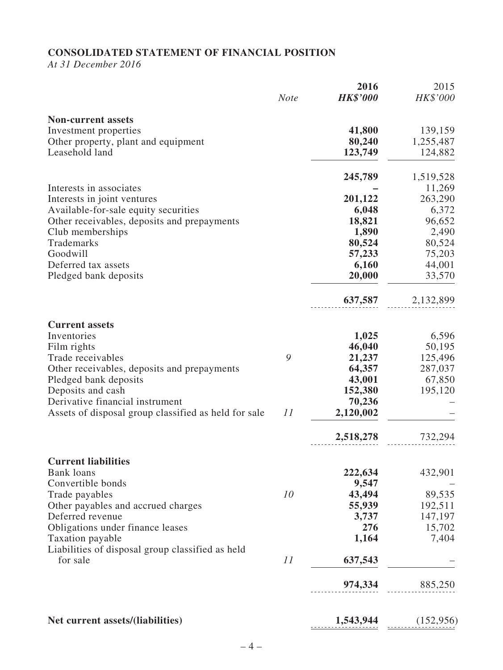# **CONSOLIDATED STATEMENT OF FINANCIAL POSITION**

*At 31 December 2016*

|                                                                      | <b>Note</b> | 2016<br><b>HK\$'000</b> | 2015<br>HK\$'000 |
|----------------------------------------------------------------------|-------------|-------------------------|------------------|
| <b>Non-current assets</b>                                            |             |                         |                  |
| Investment properties                                                |             | 41,800                  | 139,159          |
| Other property, plant and equipment                                  |             | 80,240                  | 1,255,487        |
| Leasehold land                                                       |             | 123,749                 | 124,882          |
|                                                                      |             | 245,789                 | 1,519,528        |
| Interests in associates                                              |             |                         | 11,269           |
| Interests in joint ventures                                          |             | 201,122                 | 263,290          |
| Available-for-sale equity securities                                 |             | 6,048                   | 6,372            |
| Other receivables, deposits and prepayments                          |             | 18,821                  | 96,652           |
| Club memberships                                                     |             | 1,890                   | 2,490            |
| Trademarks                                                           |             | 80,524                  | 80,524           |
| Goodwill                                                             |             | 57,233                  | 75,203           |
| Deferred tax assets                                                  |             | 6,160                   | 44,001           |
| Pledged bank deposits                                                |             | 20,000                  | 33,570           |
|                                                                      |             | 637,587                 | 2,132,899        |
| <b>Current assets</b>                                                |             |                         |                  |
| Inventories                                                          |             | 1,025                   | 6,596            |
| Film rights                                                          |             | 46,040                  | 50,195           |
| Trade receivables                                                    | 9           | 21,237                  | 125,496          |
| Other receivables, deposits and prepayments                          |             | 64,357                  | 287,037          |
| Pledged bank deposits                                                |             | 43,001                  | 67,850           |
| Deposits and cash                                                    |             | 152,380                 | 195,120          |
| Derivative financial instrument                                      |             | 70,236                  |                  |
| Assets of disposal group classified as held for sale                 | 11          | 2,120,002               |                  |
|                                                                      |             | 2,518,278               | 732,294          |
| <b>Current liabilities</b>                                           |             |                         |                  |
| <b>Bank</b> loans                                                    |             | 222,634                 | 432,901          |
| Convertible bonds                                                    |             | 9,547                   |                  |
| Trade payables                                                       | 10          | 43,494                  | 89,535           |
| Other payables and accrued charges                                   |             | 55,939                  | 192,511          |
| Deferred revenue                                                     |             | 3,737                   | 147,197          |
| Obligations under finance leases                                     |             | 276                     | 15,702           |
| Taxation payable<br>Liabilities of disposal group classified as held |             | 1,164                   | 7,404            |
| for sale                                                             | 11          | 637,543                 |                  |
|                                                                      |             | 974,334                 | 885,250          |
| Net current assets/(liabilities)                                     |             | 1,543,944               | (152,956)        |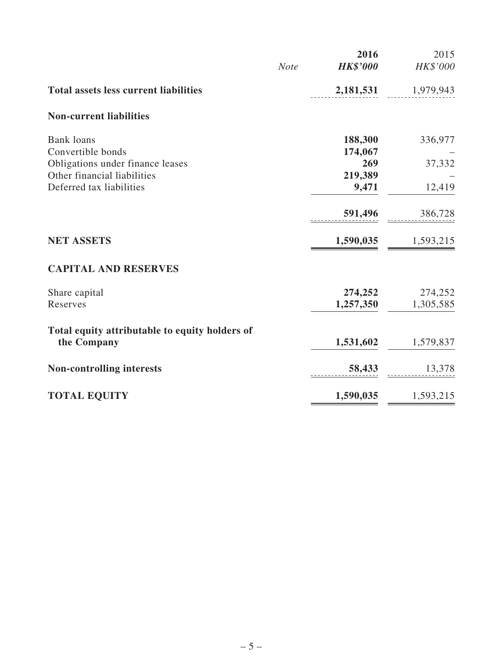|                                                |             | 2016            | 2015      |
|------------------------------------------------|-------------|-----------------|-----------|
|                                                | <b>Note</b> | <b>HK\$'000</b> | HK\$'000  |
| <b>Total assets less current liabilities</b>   |             | 2,181,531       | 1,979,943 |
| <b>Non-current liabilities</b>                 |             |                 |           |
| <b>Bank</b> loans                              |             | 188,300         | 336,977   |
| Convertible bonds                              |             | 174,067         |           |
| Obligations under finance leases               |             | 269             | 37,332    |
| Other financial liabilities                    |             | 219,389         |           |
| Deferred tax liabilities                       |             | 9,471           | 12,419    |
|                                                |             | 591,496         | 386,728   |
| <b>NET ASSETS</b>                              |             | 1,590,035       | 1,593,215 |
| <b>CAPITAL AND RESERVES</b>                    |             |                 |           |
| Share capital                                  |             | 274,252         | 274,252   |
| Reserves                                       |             | 1,257,350       | 1,305,585 |
| Total equity attributable to equity holders of |             |                 |           |
| the Company                                    |             | 1,531,602       | 1,579,837 |
| <b>Non-controlling interests</b>               |             | 58,433          | 13,378    |
| <b>TOTAL EQUITY</b>                            |             | 1,590,035       | 1,593,215 |
|                                                |             |                 |           |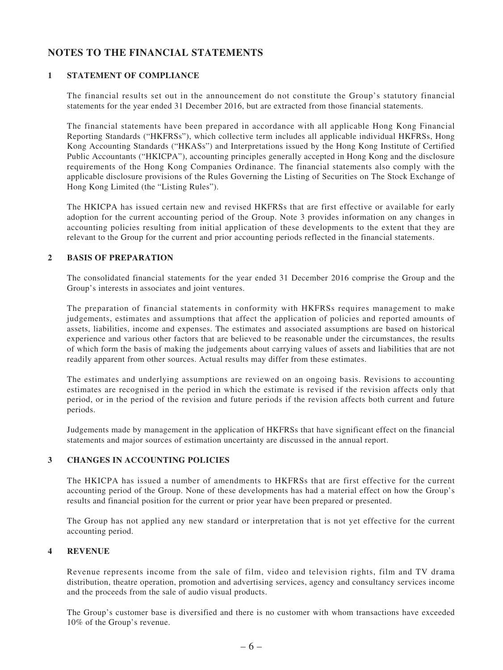# **NOTES TO THE FINANCIAL STATEMENTS**

#### **1 STATEMENT OF COMPLIANCE**

The financial results set out in the announcement do not constitute the Group's statutory financial statements for the year ended 31 December 2016, but are extracted from those financial statements.

The financial statements have been prepared in accordance with all applicable Hong Kong Financial Reporting Standards ("HKFRSs"), which collective term includes all applicable individual HKFRSs, Hong Kong Accounting Standards ("HKASs") and Interpretations issued by the Hong Kong Institute of Certified Public Accountants ("HKICPA"), accounting principles generally accepted in Hong Kong and the disclosure requirements of the Hong Kong Companies Ordinance. The financial statements also comply with the applicable disclosure provisions of the Rules Governing the Listing of Securities on The Stock Exchange of Hong Kong Limited (the "Listing Rules").

The HKICPA has issued certain new and revised HKFRSs that are first effective or available for early adoption for the current accounting period of the Group. Note 3 provides information on any changes in accounting policies resulting from initial application of these developments to the extent that they are relevant to the Group for the current and prior accounting periods reflected in the financial statements.

#### **2 BASIS OF PREPARATION**

The consolidated financial statements for the year ended 31 December 2016 comprise the Group and the Group's interests in associates and joint ventures.

The preparation of financial statements in conformity with HKFRSs requires management to make judgements, estimates and assumptions that affect the application of policies and reported amounts of assets, liabilities, income and expenses. The estimates and associated assumptions are based on historical experience and various other factors that are believed to be reasonable under the circumstances, the results of which form the basis of making the judgements about carrying values of assets and liabilities that are not readily apparent from other sources. Actual results may differ from these estimates.

The estimates and underlying assumptions are reviewed on an ongoing basis. Revisions to accounting estimates are recognised in the period in which the estimate is revised if the revision affects only that period, or in the period of the revision and future periods if the revision affects both current and future periods.

Judgements made by management in the application of HKFRSs that have significant effect on the financial statements and major sources of estimation uncertainty are discussed in the annual report.

#### **3 CHANGES IN ACCOUNTING POLICIES**

The HKICPA has issued a number of amendments to HKFRSs that are first effective for the current accounting period of the Group. None of these developments has had a material effect on how the Group's results and financial position for the current or prior year have been prepared or presented.

The Group has not applied any new standard or interpretation that is not yet effective for the current accounting period.

#### **4 REVENUE**

Revenue represents income from the sale of film, video and television rights, film and TV drama distribution, theatre operation, promotion and advertising services, agency and consultancy services income and the proceeds from the sale of audio visual products.

The Group's customer base is diversified and there is no customer with whom transactions have exceeded 10% of the Group's revenue.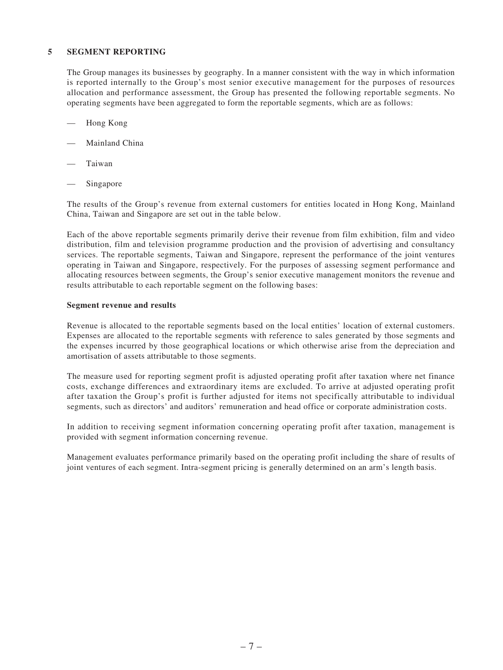#### **5 SEGMENT REPORTING**

The Group manages its businesses by geography. In a manner consistent with the way in which information is reported internally to the Group's most senior executive management for the purposes of resources allocation and performance assessment, the Group has presented the following reportable segments. No operating segments have been aggregated to form the reportable segments, which are as follows:

- Hong Kong
- Mainland China
- **Taiwan**
- Singapore

The results of the Group's revenue from external customers for entities located in Hong Kong, Mainland China, Taiwan and Singapore are set out in the table below.

Each of the above reportable segments primarily derive their revenue from film exhibition, film and video distribution, film and television programme production and the provision of advertising and consultancy services. The reportable segments, Taiwan and Singapore, represent the performance of the joint ventures operating in Taiwan and Singapore, respectively. For the purposes of assessing segment performance and allocating resources between segments, the Group's senior executive management monitors the revenue and results attributable to each reportable segment on the following bases:

#### **Segment revenue and results**

Revenue is allocated to the reportable segments based on the local entities' location of external customers. Expenses are allocated to the reportable segments with reference to sales generated by those segments and the expenses incurred by those geographical locations or which otherwise arise from the depreciation and amortisation of assets attributable to those segments.

The measure used for reporting segment profit is adjusted operating profit after taxation where net finance costs, exchange differences and extraordinary items are excluded. To arrive at adjusted operating profit after taxation the Group's profit is further adjusted for items not specifically attributable to individual segments, such as directors' and auditors' remuneration and head office or corporate administration costs.

In addition to receiving segment information concerning operating profit after taxation, management is provided with segment information concerning revenue.

Management evaluates performance primarily based on the operating profit including the share of results of joint ventures of each segment. Intra-segment pricing is generally determined on an arm's length basis.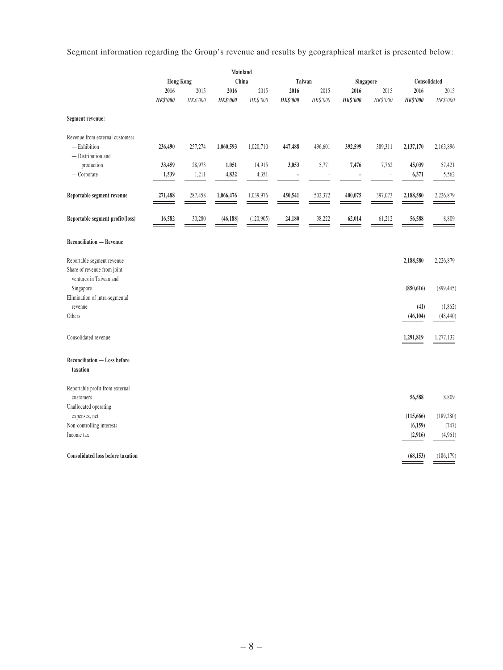Segment information regarding the Group's revenue and results by geographical market is presented below:

|                                                                                     |                           |          | Mainland       |            |                          |           |                 |                |                       |                       |
|-------------------------------------------------------------------------------------|---------------------------|----------|----------------|------------|--------------------------|-----------|-----------------|----------------|-----------------------|-----------------------|
|                                                                                     | China<br><b>Hong Kong</b> |          |                | Taiwan     |                          | Singapore |                 | Consolidated   |                       |                       |
|                                                                                     | 2016                      | 2015     | 2016           | 2015       | 2016                     | 2015      | 2016            | 2015           | 2016                  | 2015                  |
|                                                                                     | $HK\$'000$                | HK\$'000 | HK\$'000       | HK\$'000   | <b>HK\$'000</b>          | HK\$'000  | <b>HK\$'000</b> | HK\$'000       | <b>HK\$'000</b>       | HK\$'000              |
| Segment revenue:                                                                    |                           |          |                |            |                          |           |                 |                |                       |                       |
| Revenue from external customers                                                     |                           |          |                |            |                          |           |                 |                |                       |                       |
| $-$ Exhibition                                                                      | 236,490                   | 257,274  | 1,060,593      | 1,020,710  | 447,488                  | 496,601   | 392,599         | 389,311        | 2,137,170             | 2,163,896             |
| - Distribution and                                                                  |                           |          |                |            |                          |           |                 |                |                       |                       |
| production                                                                          | 33,459                    | 28,973   | 1,051<br>4,832 | 14,915     | 3,053                    | 5,771     | 7,476           | 7,762          | 45,039                | 57,421                |
| $-$ Corporate                                                                       | 1,539                     | 1,211    |                | 4,351      | $\overline{\phantom{0}}$ |           |                 | $\overline{a}$ | 6,371                 | 5,562                 |
| Reportable segment revenue                                                          | 271,488                   | 287,458  | 1,066,476      | 1,039,976  | 450,541                  | 502,372   | 400,075         | 397,073        | 2,188,580             | 2,226,879             |
| Reportable segment profit/(loss)                                                    | 16,582                    | 30,280   | (46, 188)      | (120, 905) | 24,180                   | 38,222    | 62,014          | 61,212         | 56,588                | 8,809                 |
| <b>Reconciliation — Revenue</b>                                                     |                           |          |                |            |                          |           |                 |                |                       |                       |
| Reportable segment revenue<br>Share of revenue from joint<br>ventures in Taiwan and |                           |          |                |            |                          |           |                 |                | 2,188,580             | 2,226,879             |
| Singapore                                                                           |                           |          |                |            |                          |           |                 |                | (850, 616)            | (899, 445)            |
| Elimination of intra-segmental                                                      |                           |          |                |            |                          |           |                 |                |                       |                       |
| revenue<br>Others                                                                   |                           |          |                |            |                          |           |                 |                | (41)<br>(46, 104)     | (1, 862)<br>(48, 440) |
|                                                                                     |                           |          |                |            |                          |           |                 |                |                       |                       |
| Consolidated revenue                                                                |                           |          |                |            |                          |           |                 |                | 1,291,819             | 1,277,132             |
| <b>Reconciliation - Loss before</b><br>taxation                                     |                           |          |                |            |                          |           |                 |                |                       |                       |
| Reportable profit from external<br>customers                                        |                           |          |                |            |                          |           |                 |                | 56,588                | 8,809                 |
| Unallocated operating                                                               |                           |          |                |            |                          |           |                 |                |                       |                       |
| expenses, net<br>Non-controlling interests                                          |                           |          |                |            |                          |           |                 |                | (115, 666)<br>(6,159) | (189, 280)<br>(747)   |
| Income tax                                                                          |                           |          |                |            |                          |           |                 |                | (2,916)               | (4,961)               |
|                                                                                     |                           |          |                |            |                          |           |                 |                |                       |                       |
| <b>Consolidated loss before taxation</b>                                            |                           |          |                |            |                          |           |                 |                | (68, 153)             | (186, 179)            |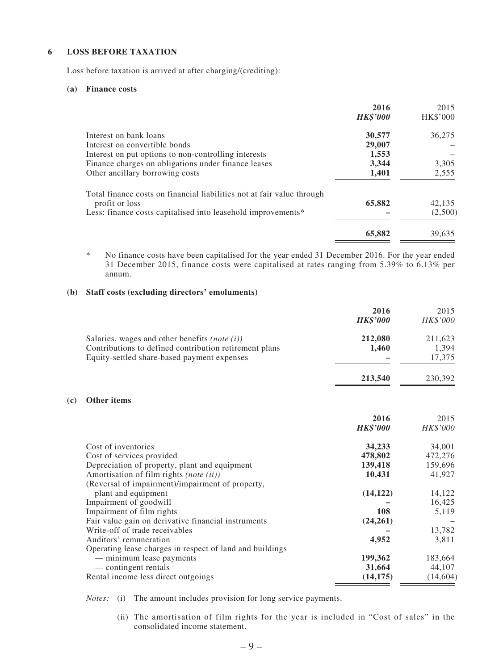#### **6 LOSS BEFORE TAXATION**

Loss before taxation is arrived at after charging/(crediting):

#### **(a) Finance costs**

**(c) Other items**

|                                                                        | 2016<br><b>HK\$'000</b> | 2015<br>HK\$'000 |
|------------------------------------------------------------------------|-------------------------|------------------|
| Interest on bank loans                                                 | 30,577                  | 36,275           |
| Interest on convertible bonds                                          | 29,007                  |                  |
| Interest on put options to non-controlling interests                   | 1,553                   |                  |
| Finance charges on obligations under finance leases                    | 3,344                   | 3,305            |
| Other ancillary borrowing costs                                        | 1,401                   | 2,555            |
| Total finance costs on financial liabilities not at fair value through |                         |                  |
| profit or loss                                                         | 65,882                  | 42,135           |
| Less: finance costs capitalised into leasehold improvements*           |                         | (2,500)          |
|                                                                        | 65,882                  | 39,635           |

\* No finance costs have been capitalised for the year ended 31 December 2016. For the year ended 31 December 2015, finance costs were capitalised at rates ranging from 5.39% to 6.13% per annum.

#### **(b) Staff costs (excluding directors' emoluments)**

|                                                          | 2016<br><b>HK\$'000</b> | 2015<br>HK\$'000 |
|----------------------------------------------------------|-------------------------|------------------|
| Salaries, wages and other benefits (note $(i)$ )         | 212,080                 | 211,623          |
| Contributions to defined contribution retirement plans   | 1,460                   | 1,394            |
| Equity-settled share-based payment expenses              |                         | 17,375           |
|                                                          | 213,540                 | 230,392          |
| Other items                                              |                         |                  |
|                                                          | 2016                    | 2015             |
|                                                          | <b>HK\$'000</b>         | HK\$'000         |
| Cost of inventories                                      | 34,233                  | 34,001           |
| Cost of services provided                                | 478,802                 | 472,276          |
| Depreciation of property, plant and equipment            | 139,418                 | 159,696          |
| Amortisation of film rights (note (ii))                  | 10,431                  | 41,927           |
| (Reversal of impairment)/impairment of property,         |                         |                  |
| plant and equipment                                      | (14, 122)               | 14,122           |
| Impairment of goodwill                                   |                         | 16,425           |
| Impairment of film rights                                | 108                     | 5,119            |
| Fair value gain on derivative financial instruments      | (24, 261)               |                  |
| Write-off of trade receivables                           |                         | 13,782           |
| Auditors' remuneration                                   | 4,952                   | 3,811            |
| Operating lease charges in respect of land and buildings |                         |                  |
| - minimum lease payments                                 | 199,362                 | 183,664          |
| - contingent rentals                                     | 31,664                  | 44,107           |
| Rental income less direct outgoings                      | (14, 175)               | (14,604)         |

*Notes:* (i) The amount includes provision for long service payments.

 (ii) The amortisation of film rights for the year is included in "Cost of sales" in the consolidated income statement.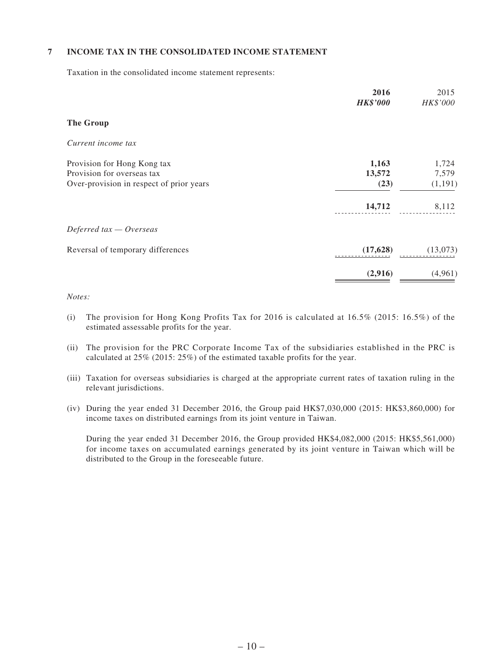#### **7 INCOME TAX IN THE CONSOLIDATED INCOME STATEMENT**

Taxation in the consolidated income statement represents:

|                                          | 2016<br><b>HK\$'000</b> | 2015<br>HK\$'000 |
|------------------------------------------|-------------------------|------------------|
| <b>The Group</b>                         |                         |                  |
| Current income tax                       |                         |                  |
| Provision for Hong Kong tax              | 1,163                   | 1,724            |
| Provision for overseas tax               | 13,572                  | 7,579            |
| Over-provision in respect of prior years | (23)                    | (1, 191)         |
|                                          | 14,712                  | 8,112            |
| Deferred $tax - Overseas$                |                         |                  |
| Reversal of temporary differences        | (17, 628)               | (13,073)         |
|                                          | (2,916)                 | (4,961)          |

#### *Notes:*

- (i) The provision for Hong Kong Profits Tax for 2016 is calculated at  $16.5\%$  (2015:  $16.5\%$ ) of the estimated assessable profits for the year.
- (ii) The provision for the PRC Corporate Income Tax of the subsidiaries established in the PRC is calculated at 25% (2015: 25%) of the estimated taxable profits for the year.
- (iii) Taxation for overseas subsidiaries is charged at the appropriate current rates of taxation ruling in the relevant jurisdictions.
- (iv) During the year ended 31 December 2016, the Group paid HK\$7,030,000 (2015: HK\$3,860,000) for income taxes on distributed earnings from its joint venture in Taiwan.

During the year ended 31 December 2016, the Group provided HK\$4,082,000 (2015: HK\$5,561,000) for income taxes on accumulated earnings generated by its joint venture in Taiwan which will be distributed to the Group in the foreseeable future.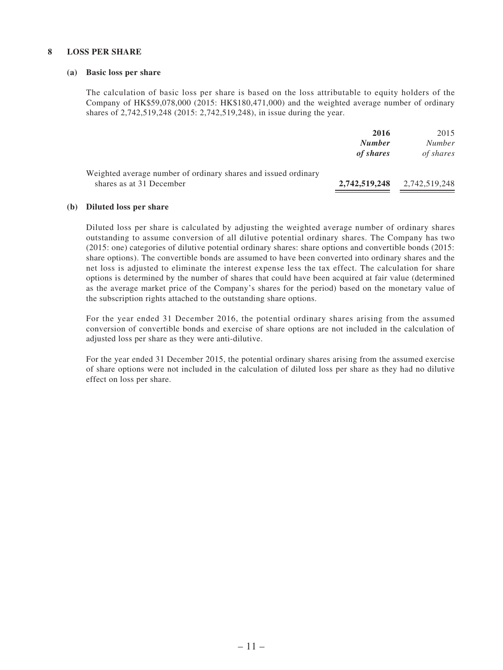#### **8 LOSS PER SHARE**

#### **(a) Basic loss per share**

The calculation of basic loss per share is based on the loss attributable to equity holders of the Company of HK\$59,078,000 (2015: HK\$180,471,000) and the weighted average number of ordinary shares of 2,742,519,248 (2015: 2,742,519,248), in issue during the year.

|                                                                | 2016          | 2015          |
|----------------------------------------------------------------|---------------|---------------|
|                                                                | <b>Number</b> | <b>Number</b> |
|                                                                | of shares     | of shares     |
| Weighted average number of ordinary shares and issued ordinary |               |               |
| shares as at 31 December                                       | 2,742,519,248 | 2,742,519,248 |

#### **(b) Diluted loss per share**

Diluted loss per share is calculated by adjusting the weighted average number of ordinary shares outstanding to assume conversion of all dilutive potential ordinary shares. The Company has two (2015: one) categories of dilutive potential ordinary shares: share options and convertible bonds (2015: share options). The convertible bonds are assumed to have been converted into ordinary shares and the net loss is adjusted to eliminate the interest expense less the tax effect. The calculation for share options is determined by the number of shares that could have been acquired at fair value (determined as the average market price of the Company's shares for the period) based on the monetary value of the subscription rights attached to the outstanding share options.

For the year ended 31 December 2016, the potential ordinary shares arising from the assumed conversion of convertible bonds and exercise of share options are not included in the calculation of adjusted loss per share as they were anti-dilutive.

For the year ended 31 December 2015, the potential ordinary shares arising from the assumed exercise of share options were not included in the calculation of diluted loss per share as they had no dilutive effect on loss per share.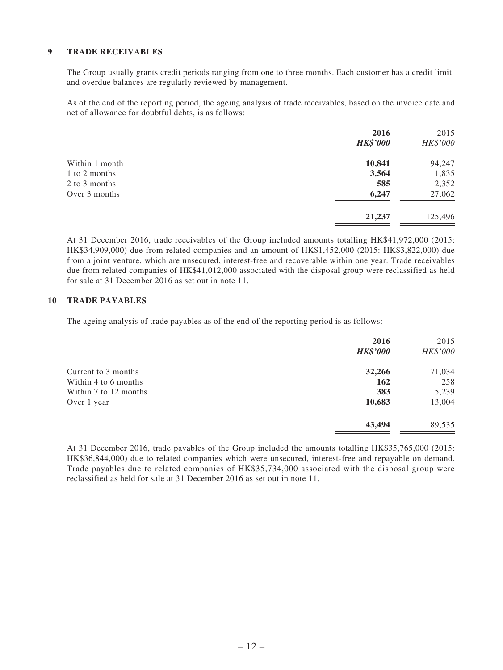#### **9 TRADE RECEIVABLES**

The Group usually grants credit periods ranging from one to three months. Each customer has a credit limit and overdue balances are regularly reviewed by management.

As of the end of the reporting period, the ageing analysis of trade receivables, based on the invoice date and net of allowance for doubtful debts, is as follows:

|                | 2016<br><b>HK\$'000</b> | 2015<br>HK\$'000 |
|----------------|-------------------------|------------------|
| Within 1 month | 10,841                  | 94,247           |
| 1 to 2 months  | 3,564                   | 1,835            |
| 2 to 3 months  | 585                     | 2,352            |
| Over 3 months  | 6,247                   | 27,062           |
|                | 21,237                  | 125,496          |
|                |                         |                  |

At 31 December 2016, trade receivables of the Group included amounts totalling HK\$41,972,000 (2015: HK\$34,909,000) due from related companies and an amount of HK\$1,452,000 (2015: HK\$3,822,000) due from a joint venture, which are unsecured, interest-free and recoverable within one year. Trade receivables due from related companies of HK\$41,012,000 associated with the disposal group were reclassified as held for sale at 31 December 2016 as set out in note 11.

#### **10 TRADE PAYABLES**

The ageing analysis of trade payables as of the end of the reporting period is as follows:

|                       | 2016<br><b>HK\$'000</b> | 2015<br>HK\$'000 |
|-----------------------|-------------------------|------------------|
| Current to 3 months   | 32,266                  | 71,034           |
| Within 4 to 6 months  | 162                     | 258              |
| Within 7 to 12 months | 383                     | 5,239            |
| Over 1 year           | 10,683                  | 13,004           |
|                       | 43,494                  | 89,535           |

At 31 December 2016, trade payables of the Group included the amounts totalling HK\$35,765,000 (2015: HK\$36,844,000) due to related companies which were unsecured, interest-free and repayable on demand. Trade payables due to related companies of HK\$35,734,000 associated with the disposal group were reclassified as held for sale at 31 December 2016 as set out in note 11.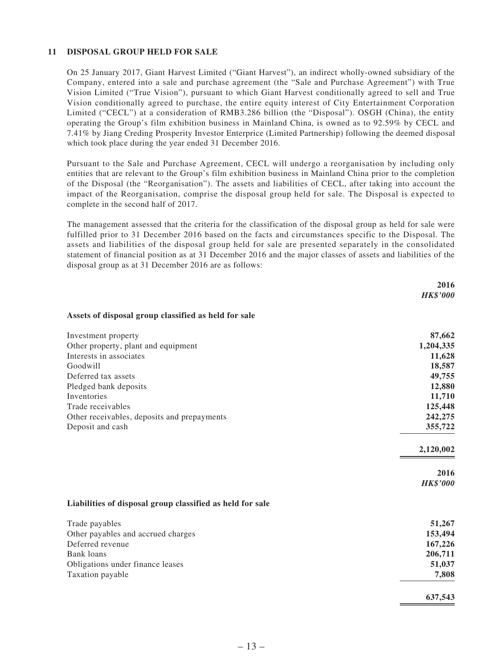#### **11 DISPOSAL GROUP HELD FOR SALE**

On 25 January 2017, Giant Harvest Limited ("Giant Harvest"), an indirect wholly-owned subsidiary of the Company, entered into a sale and purchase agreement (the "Sale and Purchase Agreement") with True Vision Limited ("True Vision"), pursuant to which Giant Harvest conditionally agreed to sell and True Vision conditionally agreed to purchase, the entire equity interest of City Entertainment Corporation Limited ("CECL") at a consideration of RMB3.286 billion (the "Disposal"). OSGH (China), the entity operating the Group's film exhibition business in Mainland China, is owned as to 92.59% by CECL and 7.41% by Jiang Creding Prosperity Investor Enterprice (Limited Partnership) following the deemed disposal which took place during the year ended 31 December 2016.

Pursuant to the Sale and Purchase Agreement, CECL will undergo a reorganisation by including only entities that are relevant to the Group's film exhibition business in Mainland China prior to the completion of the Disposal (the "Reorganisation"). The assets and liabilities of CECL, after taking into account the impact of the Reorganisation, comprise the disposal group held for sale. The Disposal is expected to complete in the second half of 2017.

The management assessed that the criteria for the classification of the disposal group as held for sale were fulfilled prior to 31 December 2016 based on the facts and circumstances specific to the Disposal. The assets and liabilities of the disposal group held for sale are presented separately in the consolidated statement of financial position as at 31 December 2016 and the major classes of assets and liabilities of the disposal group as at 31 December 2016 are as follows:

|                                                           | 2016            |
|-----------------------------------------------------------|-----------------|
|                                                           | <b>HK\$'000</b> |
| Assets of disposal group classified as held for sale      |                 |
| Investment property                                       | 87,662          |
| Other property, plant and equipment                       | 1,204,335       |
| Interests in associates                                   | 11,628          |
| Goodwill                                                  | 18,587          |
| Deferred tax assets                                       | 49,755          |
| Pledged bank deposits                                     | 12,880          |
| Inventories                                               | 11,710          |
| Trade receivables                                         | 125,448         |
| Other receivables, deposits and prepayments               | 242,275         |
| Deposit and cash                                          | 355,722         |
|                                                           | 2,120,002       |
|                                                           | 2016            |
|                                                           | <b>HK\$'000</b> |
| Liabilities of disposal group classified as held for sale |                 |
| Trade payables                                            | 51,267          |
| Other payables and accrued charges                        | 153,494         |
| Deferred revenue                                          | 167,226         |
| <b>Bank</b> loans                                         | 206,711         |
| Obligations under finance leases                          | 51,037          |
| Taxation payable                                          | 7,808           |
|                                                           | 637,543         |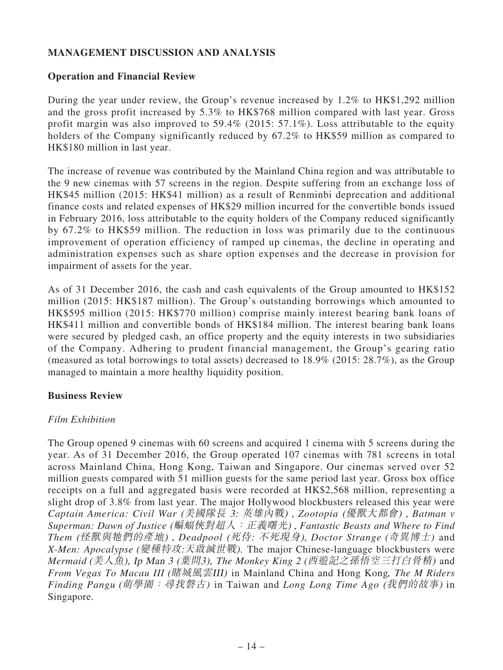# **MANAGEMENT DISCUSSION AND ANALYSIS**

### **Operation and Financial Review**

During the year under review, the Group's revenue increased by 1.2% to HK\$1,292 million and the gross profit increased by 5.3% to HK\$768 million compared with last year. Gross profit margin was also improved to 59.4% (2015: 57.1%). Loss attributable to the equity holders of the Company significantly reduced by 67.2% to HK\$59 million as compared to HK\$180 million in last year.

The increase of revenue was contributed by the Mainland China region and was attributable to the 9 new cinemas with 57 screens in the region. Despite suffering from an exchange loss of HK\$45 million (2015: HK\$41 million) as a result of Renminbi deprecation and additional finance costs and related expenses of HK\$29 million incurred for the convertible bonds issued in February 2016, loss attributable to the equity holders of the Company reduced significantly by 67.2% to HK\$59 million. The reduction in loss was primarily due to the continuous improvement of operation efficiency of ramped up cinemas, the decline in operating and administration expenses such as share option expenses and the decrease in provision for impairment of assets for the year.

As of 31 December 2016, the cash and cash equivalents of the Group amounted to HK\$152 million (2015: HK\$187 million). The Group's outstanding borrowings which amounted to HK\$595 million (2015: HK\$770 million) comprise mainly interest bearing bank loans of HK\$411 million and convertible bonds of HK\$184 million. The interest bearing bank loans were secured by pledged cash, an office property and the equity interests in two subsidiaries of the Company. Adhering to prudent financial management, the Group's gearing ratio (measured as total borrowings to total assets) decreased to 18.9% (2015: 28.7%), as the Group managed to maintain a more healthy liquidity position.

### **Business Review**

### *Film Exhibition*

The Group opened 9 cinemas with 60 screens and acquired 1 cinema with 5 screens during the year. As of 31 December 2016, the Group operated 107 cinemas with 781 screens in total across Mainland China, Hong Kong, Taiwan and Singapore. Our cinemas served over 52 million guests compared with 51 million guests for the same period last year. Gross box office receipts on a full and aggregated basis were recorded at HK\$2,568 million, representing a slight drop of 3.8% from last year. The major Hollywood blockbusters released this year were *Captain America: Civil War* (美國隊長 3: 英雄內戰) , *Zootopia* (優獸大都會) , *Batman v Superman: Dawn of Justice* (蝙蝠俠對超人:正義曙光) , *Fantastic Beasts and Where to Find Them* (怪獸與牠們的產地) , *Deadpool* (死侍: 不死現身), *Doctor Strange* (奇異博士) and *X-Men: Apocalypse* (變種特攻:天啟滅世戰). The major Chinese-language blockbusters were *Mermaid* (美人魚), Ip <sup>M</sup>an <sup>3</sup> (葉問3), *The Monkey King 2* (西遊記之孫悟空三打白骨精) and *From Vegas To Macau III* (賭城風雲III) in Mainland China and Hong Kong, *The M Riders Finding Pangu* (萌學園:尋找磐古) in Taiwan and *Long Long Time Ago* (我們的故事) in Singapore.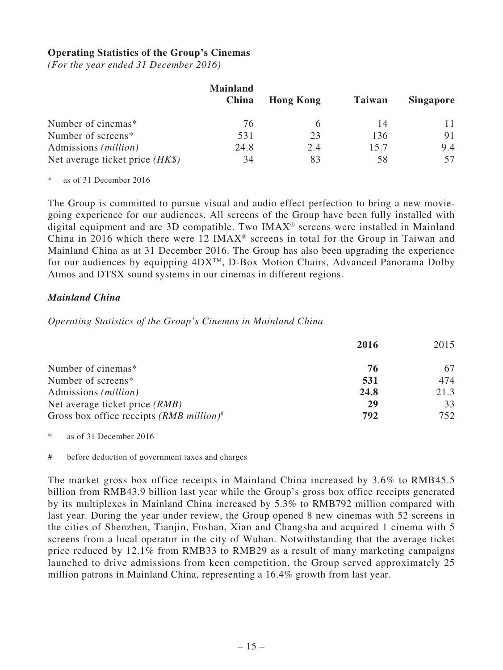### **Operating Statistics of the Group's Cinemas**

*(For the year ended 31 December 2016)*

|                                   | <b>Mainland</b><br>China | <b>Hong Kong</b> | <b>Taiwan</b> | <b>Singapore</b> |
|-----------------------------------|--------------------------|------------------|---------------|------------------|
| Number of cinemas*                | 76                       |                  | 14            |                  |
| Number of screens*                | 531                      | 23               | 136           | 91               |
| Admissions ( <i>million</i> )     | 24.8                     | 2.4              | 15.7          | 9.4              |
| Net average ticket price $(HK\$ ) | 34                       | 83               | 58            |                  |

as of 31 December 2016

The Group is committed to pursue visual and audio effect perfection to bring a new moviegoing experience for our audiences. All screens of the Group have been fully installed with digital equipment and are 3D compatible. Two IMAX® screens were installed in Mainland China in 2016 which there were 12 IMAX® screens in total for the Group in Taiwan and Mainland China as at 31 December 2016. The Group has also been upgrading the experience for our audiences by equipping 4DXTM, D-Box Motion Chairs, Advanced Panorama Dolby Atmos and DTSX sound systems in our cinemas in different regions.

### *Mainland China*

### *Operating Statistics of the Group's Cinemas in Mainland China*

|                                                        | 2016 | 2015 |
|--------------------------------------------------------|------|------|
| Number of cinemas*                                     | 76   |      |
| Number of screens*                                     | 531  | 474  |
| Admissions ( <i>million</i> )                          | 24.8 | 21.3 |
| Net average ticket price <i>(RMB)</i>                  | 29   | 33   |
| Gross box office receipts $(RMB$ million) <sup>#</sup> | 792  | 752. |

\* as of 31 December 2016

# before deduction of government taxes and charges

The market gross box office receipts in Mainland China increased by 3.6% to RMB45.5 billion from RMB43.9 billion last year while the Group's gross box office receipts generated by its multiplexes in Mainland China increased by 5.3% to RMB792 million compared with last year. During the year under review, the Group opened 8 new cinemas with 52 screens in the cities of Shenzhen, Tianjin, Foshan, Xian and Changsha and acquired 1 cinema with 5 screens from a local operator in the city of Wuhan. Notwithstanding that the average ticket price reduced by 12.1% from RMB33 to RMB29 as a result of many marketing campaigns launched to drive admissions from keen competition, the Group served approximately 25 million patrons in Mainland China, representing a 16.4% growth from last year.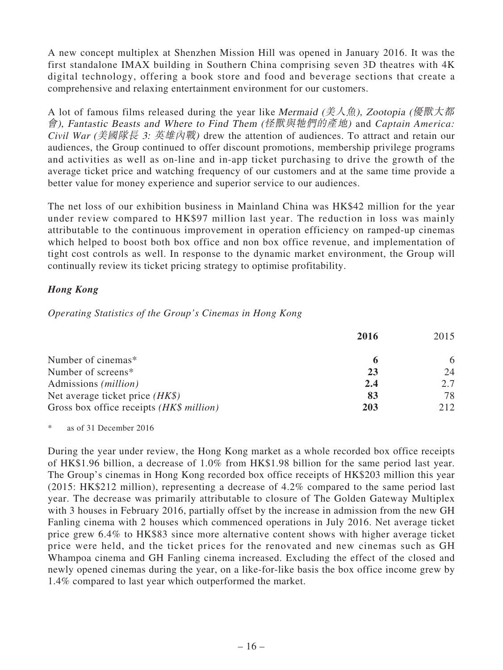A new concept multiplex at Shenzhen Mission Hill was opened in January 2016. It was the first standalone IMAX building in Southern China comprising seven 3D theatres with 4K digital technology, offering a book store and food and beverage sections that create a comprehensive and relaxing entertainment environment for our customers.

A lot of famous films released during the year like Mermaid (美人魚), Zootopia (優獸大都 會), Fantastic Beasts and Where to Find The<sup>m</sup> (怪獸與牠們的產地) and *Captain America: Civil War* (美國隊長 3: 英雄內戰) drew the attention of audiences. To attract and retain our audiences, the Group continued to offer discount promotions, membership privilege programs and activities as well as on-line and in-app ticket purchasing to drive the growth of the average ticket price and watching frequency of our customers and at the same time provide a better value for money experience and superior service to our audiences.

The net loss of our exhibition business in Mainland China was HK\$42 million for the year under review compared to HK\$97 million last year. The reduction in loss was mainly attributable to the continuous improvement in operation efficiency on ramped-up cinemas which helped to boost both box office and non box office revenue, and implementation of tight cost controls as well. In response to the dynamic market environment, the Group will continually review its ticket pricing strategy to optimise profitability.

# *Hong Kong*

*Operating Statistics of the Group's Cinemas in Hong Kong*

|                                          | 2016 | 2015 |
|------------------------------------------|------|------|
| Number of cinemas*                       |      | 6    |
| Number of screens*                       | 23   | 24   |
| Admissions ( <i>million</i> )            | 2.4  | 2.7  |
| Net average ticket price $(HK\$ )        | 83   | 78   |
| Gross box office receipts (HK\$ million) | 203  | 212  |

\* as of 31 December 2016

During the year under review, the Hong Kong market as a whole recorded box office receipts of HK\$1.96 billion, a decrease of 1.0% from HK\$1.98 billion for the same period last year. The Group's cinemas in Hong Kong recorded box office receipts of HK\$203 million this year (2015: HK\$212 million), representing a decrease of 4.2% compared to the same period last year. The decrease was primarily attributable to closure of The Golden Gateway Multiplex with 3 houses in February 2016, partially offset by the increase in admission from the new GH Fanling cinema with 2 houses which commenced operations in July 2016. Net average ticket price grew 6.4% to HK\$83 since more alternative content shows with higher average ticket price were held, and the ticket prices for the renovated and new cinemas such as GH Whampoa cinema and GH Fanling cinema increased. Excluding the effect of the closed and newly opened cinemas during the year, on a like-for-like basis the box office income grew by 1.4% compared to last year which outperformed the market.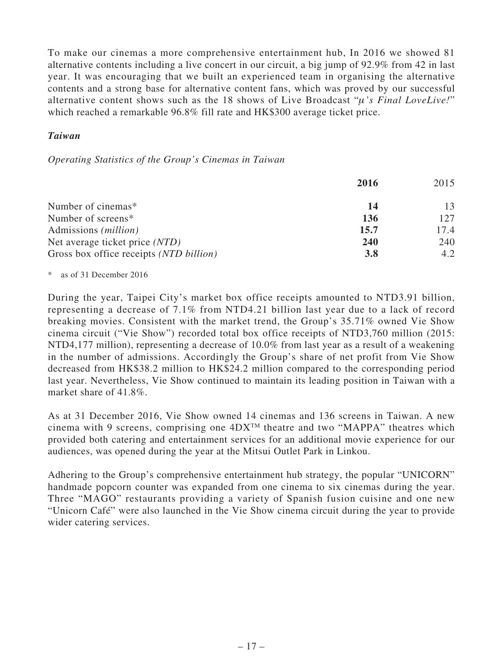To make our cinemas a more comprehensive entertainment hub, In 2016 we showed 81 alternative contents including a live concert in our circuit, a big jump of 92.9% from 42 in last year. It was encouraging that we built an experienced team in organising the alternative contents and a strong base for alternative content fans, which was proved by our successful alternative content shows such as the 18 shows of Live Broadcast "μ*'s Final LoveLive!*" which reached a remarkable 96.8% fill rate and HK\$300 average ticket price.

### *Taiwan*

#### *Operating Statistics of the Group's Cinemas in Taiwan*

|                                         | 2016       | 2015 |
|-----------------------------------------|------------|------|
| Number of cinemas*                      | 14         | 13   |
| Number of screens*                      | 136        | 127  |
| Admissions ( <i>million</i> )           | 15.7       | 17.4 |
| Net average ticket price (NTD)          | <b>240</b> | 240  |
| Gross box office receipts (NTD billion) | <b>3.8</b> | 4.2  |

\* as of 31 December 2016

During the year, Taipei City's market box office receipts amounted to NTD3.91 billion, representing a decrease of 7.1% from NTD4.21 billion last year due to a lack of record breaking movies. Consistent with the market trend, the Group's 35.71% owned Vie Show cinema circuit ("Vie Show") recorded total box office receipts of NTD3,760 million (2015: NTD4,177 million), representing a decrease of 10.0% from last year as a result of a weakening in the number of admissions. Accordingly the Group's share of net profit from Vie Show decreased from HK\$38.2 million to HK\$24.2 million compared to the corresponding period last year. Nevertheless, Vie Show continued to maintain its leading position in Taiwan with a market share of 41.8%.

As at 31 December 2016, Vie Show owned 14 cinemas and 136 screens in Taiwan. A new cinema with 9 screens, comprising one  $4DX^{TM}$  theatre and two "MAPPA" theatres which provided both catering and entertainment services for an additional movie experience for our audiences, was opened during the year at the Mitsui Outlet Park in Linkou.

Adhering to the Group's comprehensive entertainment hub strategy, the popular "UNICORN" handmade popcorn counter was expanded from one cinema to six cinemas during the year. Three "MAGO" restaurants providing a variety of Spanish fusion cuisine and one new "Unicorn Café" were also launched in the Vie Show cinema circuit during the year to provide wider catering services.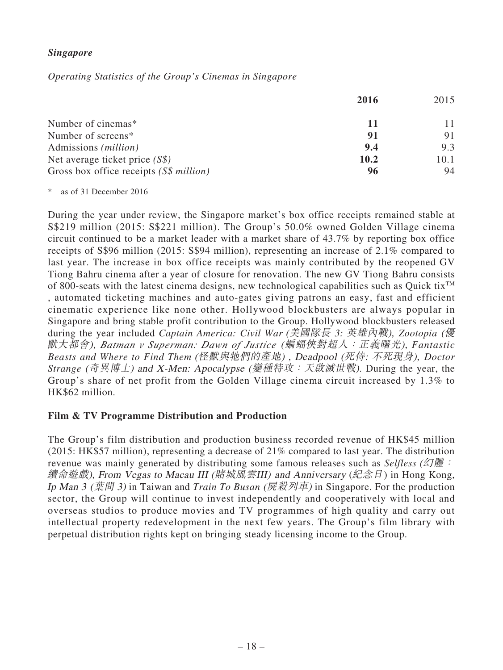### *Singapore*

*Operating Statistics of the Group's Cinemas in Singapore*

|                                         | 2016 | 2015 |
|-----------------------------------------|------|------|
| Number of cinemas*                      | 11   |      |
| Number of screens*                      | 91   | 91   |
| Admissions ( <i>million</i> )           | 9.4  | 9.3  |
| Net average ticket price $(S\$ )        | 10.2 | 10.1 |
| Gross box office receipts (S\$ million) | 96   | 94   |

\* as of 31 December 2016

During the year under review, the Singapore market's box office receipts remained stable at S\$219 million (2015: S\$221 million). The Group's 50.0% owned Golden Village cinema circuit continued to be a market leader with a market share of 43.7% by reporting box office receipts of S\$96 million (2015: S\$94 million), representing an increase of 2.1% compared to last year. The increase in box office receipts was mainly contributed by the reopened GV Tiong Bahru cinema after a year of closure for renovation. The new GV Tiong Bahru consists of 800-seats with the latest cinema designs, new technological capabilities such as Quick tix<sup>TM</sup> , automated ticketing machines and auto-gates giving patrons an easy, fast and efficient cinematic experience like none other. Hollywood blockbusters are always popular in Singapore and bring stable profit contribution to the Group. Hollywood blockbusters released during the year included *Captain America: Civil War* (美國隊長 3: 英雄內戰), *Zootopia* (優 獸大都會), *Batman v Superman: Dawn of Justice* (蝙蝠俠對超人:正義曙光), *Fantastic Beasts and Where to Find Them* (怪獸與牠們的產地) , Deadpool (死侍: 不死現身), *Doctor Strange* (奇異博士) and <sup>X</sup>-Men: <sup>A</sup>pocalypse (變種特攻:天啟滅世戰). During the year, the Group's share of net profit from the Golden Village cinema circuit increased by 1.3% to HK\$62 million.

### **Film & TV Programme Distribution and Production**

The Group's film distribution and production business recorded revenue of HK\$45 million (2015: HK\$57 million), representing a decrease of 21% compared to last year. The distribution revenue was mainly generated by distributing some famous releases such as *Selfless* (幻體: 續命遊戲), Fro<sup>m</sup> Vegas to <sup>M</sup>acau III (賭城風雲III) and Anniversary (紀念日) in Hong Kong, Ip Man <sup>3</sup> (葉問 <sup>3</sup>) in Taiwan and *Train To Busan* (屍殺列車) in Singapore. For the production sector, the Group will continue to invest independently and cooperatively with local and overseas studios to produce movies and TV programmes of high quality and carry out intellectual property redevelopment in the next few years. The Group's film library with perpetual distribution rights kept on bringing steady licensing income to the Group.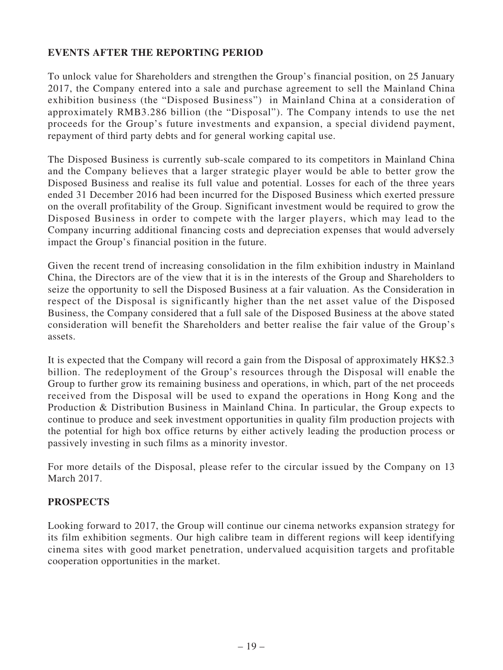# **EVENTS AFTER THE REPORTING PERIOD**

To unlock value for Shareholders and strengthen the Group's financial position, on 25 January 2017, the Company entered into a sale and purchase agreement to sell the Mainland China exhibition business (the "Disposed Business") in Mainland China at a consideration of approximately RMB3.286 billion (the "Disposal"). The Company intends to use the net proceeds for the Group's future investments and expansion, a special dividend payment, repayment of third party debts and for general working capital use.

The Disposed Business is currently sub-scale compared to its competitors in Mainland China and the Company believes that a larger strategic player would be able to better grow the Disposed Business and realise its full value and potential. Losses for each of the three years ended 31 December 2016 had been incurred for the Disposed Business which exerted pressure on the overall profitability of the Group. Significant investment would be required to grow the Disposed Business in order to compete with the larger players, which may lead to the Company incurring additional financing costs and depreciation expenses that would adversely impact the Group's financial position in the future.

Given the recent trend of increasing consolidation in the film exhibition industry in Mainland China, the Directors are of the view that it is in the interests of the Group and Shareholders to seize the opportunity to sell the Disposed Business at a fair valuation. As the Consideration in respect of the Disposal is significantly higher than the net asset value of the Disposed Business, the Company considered that a full sale of the Disposed Business at the above stated consideration will benefit the Shareholders and better realise the fair value of the Group's assets.

It is expected that the Company will record a gain from the Disposal of approximately HK\$2.3 billion. The redeployment of the Group's resources through the Disposal will enable the Group to further grow its remaining business and operations, in which, part of the net proceeds received from the Disposal will be used to expand the operations in Hong Kong and the Production & Distribution Business in Mainland China. In particular, the Group expects to continue to produce and seek investment opportunities in quality film production projects with the potential for high box office returns by either actively leading the production process or passively investing in such films as a minority investor.

For more details of the Disposal, please refer to the circular issued by the Company on 13 March 2017.

### **PROSPECTS**

Looking forward to 2017, the Group will continue our cinema networks expansion strategy for its film exhibition segments. Our high calibre team in different regions will keep identifying cinema sites with good market penetration, undervalued acquisition targets and profitable cooperation opportunities in the market.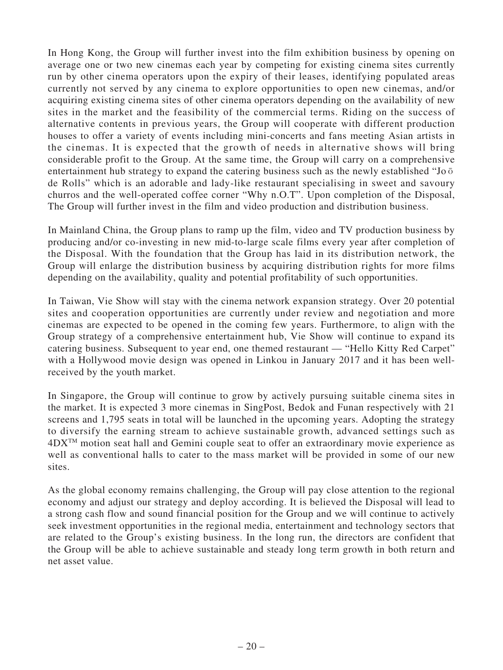In Hong Kong, the Group will further invest into the film exhibition business by opening on average one or two new cinemas each year by competing for existing cinema sites currently run by other cinema operators upon the expiry of their leases, identifying populated areas currently not served by any cinema to explore opportunities to open new cinemas, and/or acquiring existing cinema sites of other cinema operators depending on the availability of new sites in the market and the feasibility of the commercial terms. Riding on the success of alternative contents in previous years, the Group will cooperate with different production houses to offer a variety of events including mini-concerts and fans meeting Asian artists in the cinemas. It is expected that the growth of needs in alternative shows will bring considerable profit to the Group. At the same time, the Group will carry on a comprehensive entertainment hub strategy to expand the catering business such as the newly established "Jo $\bar{o}$ de Rolls" which is an adorable and lady-like restaurant specialising in sweet and savoury churros and the well-operated coffee corner "Why n.O.T". Upon completion of the Disposal, The Group will further invest in the film and video production and distribution business.

In Mainland China, the Group plans to ramp up the film, video and TV production business by producing and/or co-investing in new mid-to-large scale films every year after completion of the Disposal. With the foundation that the Group has laid in its distribution network, the Group will enlarge the distribution business by acquiring distribution rights for more films depending on the availability, quality and potential profitability of such opportunities.

In Taiwan, Vie Show will stay with the cinema network expansion strategy. Over 20 potential sites and cooperation opportunities are currently under review and negotiation and more cinemas are expected to be opened in the coming few years. Furthermore, to align with the Group strategy of a comprehensive entertainment hub, Vie Show will continue to expand its catering business. Subsequent to year end, one themed restaurant — "Hello Kitty Red Carpet" with a Hollywood movie design was opened in Linkou in January 2017 and it has been wellreceived by the youth market.

In Singapore, the Group will continue to grow by actively pursuing suitable cinema sites in the market. It is expected 3 more cinemas in SingPost, Bedok and Funan respectively with 21 screens and 1,795 seats in total will be launched in the upcoming years. Adopting the strategy to diversify the earning stream to achieve sustainable growth, advanced settings such as 4DXTM motion seat hall and Gemini couple seat to offer an extraordinary movie experience as well as conventional halls to cater to the mass market will be provided in some of our new sites.

As the global economy remains challenging, the Group will pay close attention to the regional economy and adjust our strategy and deploy according. It is believed the Disposal will lead to a strong cash flow and sound financial position for the Group and we will continue to actively seek investment opportunities in the regional media, entertainment and technology sectors that are related to the Group's existing business. In the long run, the directors are confident that the Group will be able to achieve sustainable and steady long term growth in both return and net asset value.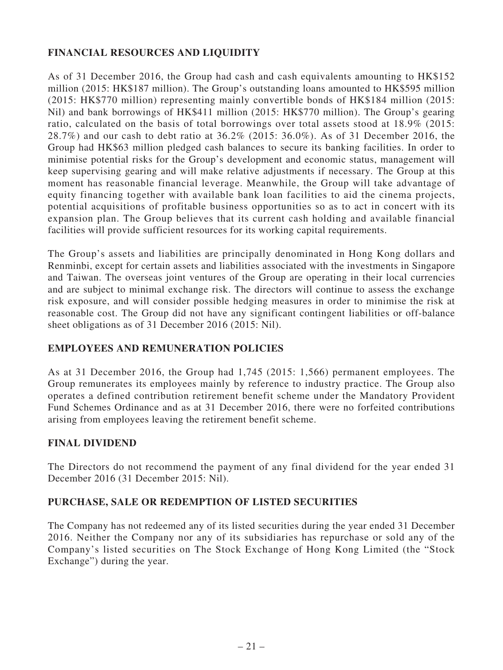# **FINANCIAL RESOURCES AND LIQUIDITY**

As of 31 December 2016, the Group had cash and cash equivalents amounting to HK\$152 million (2015: HK\$187 million). The Group's outstanding loans amounted to HK\$595 million (2015: HK\$770 million) representing mainly convertible bonds of HK\$184 million (2015: Nil) and bank borrowings of HK\$411 million (2015: HK\$770 million). The Group's gearing ratio, calculated on the basis of total borrowings over total assets stood at 18.9% (2015: 28.7%) and our cash to debt ratio at 36.2% (2015: 36.0%). As of 31 December 2016, the Group had HK\$63 million pledged cash balances to secure its banking facilities. In order to minimise potential risks for the Group's development and economic status, management will keep supervising gearing and will make relative adjustments if necessary. The Group at this moment has reasonable financial leverage. Meanwhile, the Group will take advantage of equity financing together with available bank loan facilities to aid the cinema projects, potential acquisitions of profitable business opportunities so as to act in concert with its expansion plan. The Group believes that its current cash holding and available financial facilities will provide sufficient resources for its working capital requirements.

The Group's assets and liabilities are principally denominated in Hong Kong dollars and Renminbi, except for certain assets and liabilities associated with the investments in Singapore and Taiwan. The overseas joint ventures of the Group are operating in their local currencies and are subject to minimal exchange risk. The directors will continue to assess the exchange risk exposure, and will consider possible hedging measures in order to minimise the risk at reasonable cost. The Group did not have any significant contingent liabilities or off-balance sheet obligations as of 31 December 2016 (2015: Nil).

### **EMPLOYEES AND REMUNERATION POLICIES**

As at 31 December 2016, the Group had 1,745 (2015: 1,566) permanent employees. The Group remunerates its employees mainly by reference to industry practice. The Group also operates a defined contribution retirement benefit scheme under the Mandatory Provident Fund Schemes Ordinance and as at 31 December 2016, there were no forfeited contributions arising from employees leaving the retirement benefit scheme.

### **FINAL DIVIDEND**

The Directors do not recommend the payment of any final dividend for the year ended 31 December 2016 (31 December 2015: Nil).

### **PURCHASE, SALE OR REDEMPTION OF LISTED SECURITIES**

The Company has not redeemed any of its listed securities during the year ended 31 December 2016. Neither the Company nor any of its subsidiaries has repurchase or sold any of the Company's listed securities on The Stock Exchange of Hong Kong Limited (the "Stock Exchange") during the year.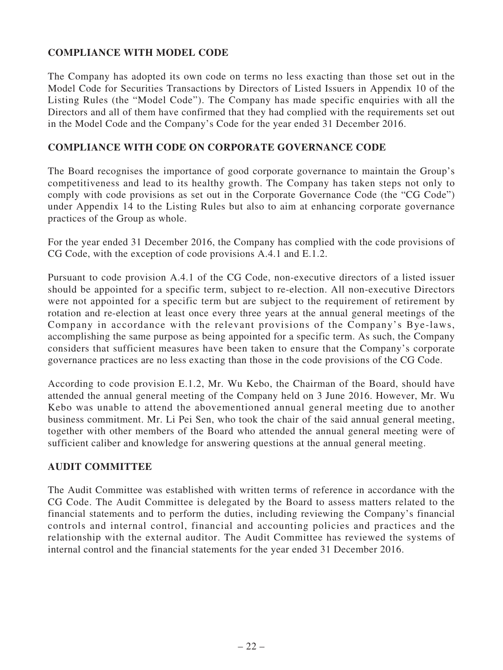# **COMPLIANCE WITH MODEL CODE**

The Company has adopted its own code on terms no less exacting than those set out in the Model Code for Securities Transactions by Directors of Listed Issuers in Appendix 10 of the Listing Rules (the "Model Code"). The Company has made specific enquiries with all the Directors and all of them have confirmed that they had complied with the requirements set out in the Model Code and the Company's Code for the year ended 31 December 2016.

### **COMPLIANCE WITH CODE ON CORPORATE GOVERNANCE CODE**

The Board recognises the importance of good corporate governance to maintain the Group's competitiveness and lead to its healthy growth. The Company has taken steps not only to comply with code provisions as set out in the Corporate Governance Code (the "CG Code") under Appendix 14 to the Listing Rules but also to aim at enhancing corporate governance practices of the Group as whole.

For the year ended 31 December 2016, the Company has complied with the code provisions of CG Code, with the exception of code provisions A.4.1 and E.1.2.

Pursuant to code provision A.4.1 of the CG Code, non-executive directors of a listed issuer should be appointed for a specific term, subject to re-election. All non-executive Directors were not appointed for a specific term but are subject to the requirement of retirement by rotation and re-election at least once every three years at the annual general meetings of the Company in accordance with the relevant provisions of the Company's Bye-laws, accomplishing the same purpose as being appointed for a specific term. As such, the Company considers that sufficient measures have been taken to ensure that the Company's corporate governance practices are no less exacting than those in the code provisions of the CG Code.

According to code provision E.1.2, Mr. Wu Kebo, the Chairman of the Board, should have attended the annual general meeting of the Company held on 3 June 2016. However, Mr. Wu Kebo was unable to attend the abovementioned annual general meeting due to another business commitment. Mr. Li Pei Sen, who took the chair of the said annual general meeting, together with other members of the Board who attended the annual general meeting were of sufficient caliber and knowledge for answering questions at the annual general meeting.

### **AUDIT COMMITTEE**

The Audit Committee was established with written terms of reference in accordance with the CG Code. The Audit Committee is delegated by the Board to assess matters related to the financial statements and to perform the duties, including reviewing the Company's financial controls and internal control, financial and accounting policies and practices and the relationship with the external auditor. The Audit Committee has reviewed the systems of internal control and the financial statements for the year ended 31 December 2016.